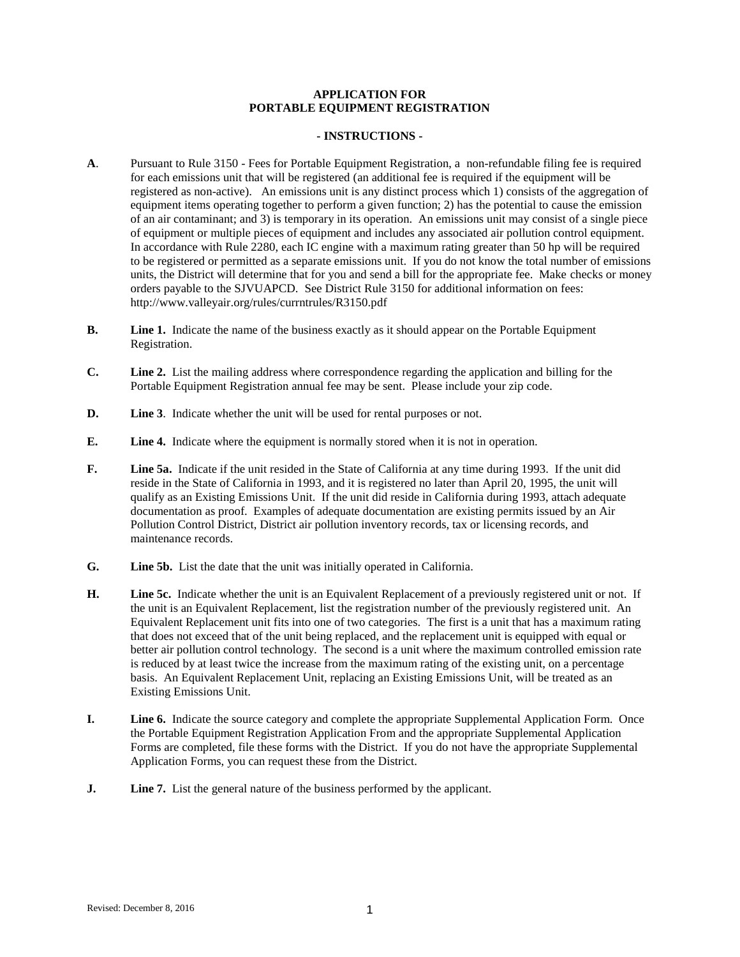## **APPLICATION FOR PORTABLE EQUIPMENT REGISTRATION**

## **- INSTRUCTIONS -**

- **A**. Pursuant to Rule 3150 Fees for Portable Equipment Registration, a non-refundable filing fee is required for each emissions unit that will be registered (an additional fee is required if the equipment will be registered as non-active). An emissions unit is any distinct process which 1) consists of the aggregation of equipment items operating together to perform a given function; 2) has the potential to cause the emission of an air contaminant; and 3) is temporary in its operation. An emissions unit may consist of a single piece of equipment or multiple pieces of equipment and includes any associated air pollution control equipment. In accordance with Rule 2280, each IC engine with a maximum rating greater than 50 hp will be required to be registered or permitted as a separate emissions unit. If you do not know the total number of emissions units, the District will determine that for you and send a bill for the appropriate fee. Make checks or money orders payable to the SJVUAPCD. See District Rule 3150 for additional information on fees: http://www.valleyair.org/rules/currntrules/R3150.pdf
- **B. Line 1.** Indicate the name of the business exactly as it should appear on the Portable Equipment Registration.
- **C. Line 2.** List the mailing address where correspondence regarding the application and billing for the Portable Equipment Registration annual fee may be sent. Please include your zip code.
- **D. Line 3**. Indicate whether the unit will be used for rental purposes or not.
- **E. Line 4.** Indicate where the equipment is normally stored when it is not in operation.
- **F. Line 5a.** Indicate if the unit resided in the State of California at any time during 1993. If the unit did reside in the State of California in 1993, and it is registered no later than April 20, 1995, the unit will qualify as an Existing Emissions Unit. If the unit did reside in California during 1993, attach adequate documentation as proof. Examples of adequate documentation are existing permits issued by an Air Pollution Control District, District air pollution inventory records, tax or licensing records, and maintenance records.
- **G. Line 5b.** List the date that the unit was initially operated in California.
- **H. Line 5c.** Indicate whether the unit is an Equivalent Replacement of a previously registered unit or not. If the unit is an Equivalent Replacement, list the registration number of the previously registered unit. An Equivalent Replacement unit fits into one of two categories. The first is a unit that has a maximum rating that does not exceed that of the unit being replaced, and the replacement unit is equipped with equal or better air pollution control technology. The second is a unit where the maximum controlled emission rate is reduced by at least twice the increase from the maximum rating of the existing unit, on a percentage basis. An Equivalent Replacement Unit, replacing an Existing Emissions Unit, will be treated as an Existing Emissions Unit.
- **I. Line 6.** Indicate the source category and complete the appropriate Supplemental Application Form. Once the Portable Equipment Registration Application From and the appropriate Supplemental Application Forms are completed, file these forms with the District. If you do not have the appropriate Supplemental Application Forms, you can request these from the District.
- **J. Line 7.** List the general nature of the business performed by the applicant.